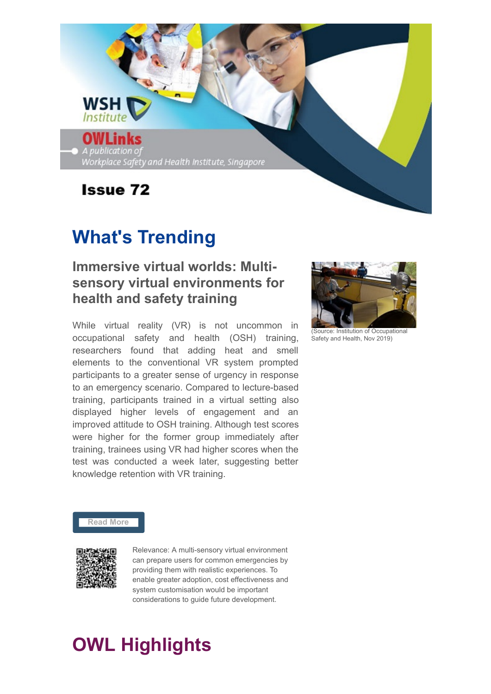

# **What's Trending**

## **Immersive virtual worlds: Multisensory virtual environments for health and safety training**

While virtual reality (VR) is not uncommon in occupational safety and health (OSH) training, researchers found that adding heat and smell elements to the conventional VR system prompted participants to a greater sense of urgency in response to an emergency scenario. Compared to lecture-based training, participants trained in a virtual setting also displayed higher levels of engagement and an improved attitude to OSH training. Although test scores were higher for the former group immediately after training, trainees using VR had higher scores when the test was conducted a week later, suggesting better knowledge retention with VR training.



(Source: Institution of Occupation Safety and Health, Nov 2019)

#### **[Read More](https://www.iosh.com/media/5812/ps0945-immersive-virtual-worlds-full-report_v2.pdf)**



Relevance: A multi-sensory virtual environment can prepare users for common emergencies by providing them with realistic experiences. To enable greater adoption, cost effectiveness and system customisation would be important considerations to guide future development.

# **OWL Highlights**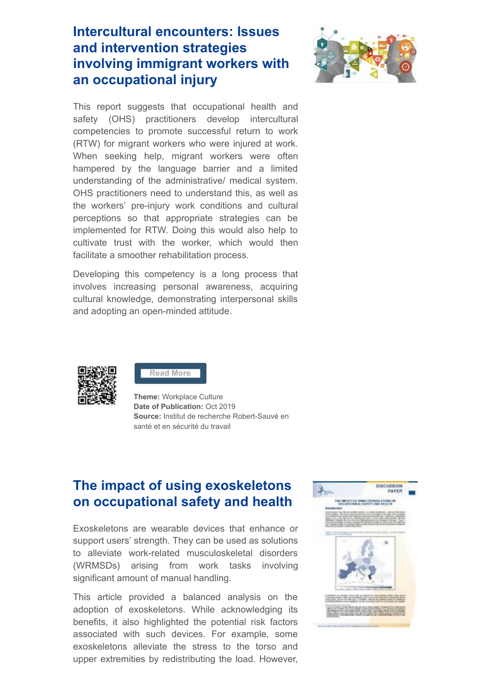## **Intercultural encounters: Issues and intervention strategies involving immigrant workers with an occupational injury**



This report suggests that occupational health and safety (OHS) practitioners develop intercultural competencies to promote successful return to work (RTW) for migrant workers who were injured at work. When seeking help, migrant workers were often hampered by the language barrier and a limited understanding of the administrative/ medical system. OHS practitioners need to understand this, as well as the workers' pre-injury work conditions and cultural perceptions so that appropriate strategies can be implemented for RTW. Doing this would also help to cultivate trust with the worker, which would then facilitate a smoother rehabilitation process.

Developing this competency is a long process that involves increasing personal awareness, acquiring cultural knowledge, demonstrating interpersonal skills and adopting an open-minded attitude.



**[Read More](https://www.irsst.qc.ca/media/documents/PubIRSST/DS-1078.pdf?v=2019-11-11)**

**Theme:** Workplace Culture **Date of Publication:** Oct 2019 **Source:** Institut de recherche Robert-Sauvé en santé et en sécurité du travail

### **The impact of using exoskeletons on occupational safety and health**

Exoskeletons are wearable devices that enhance or support users' strength. They can be used as solutions to alleviate work-related musculoskeletal disorders (WRMSDs) arising from work tasks involving significant amount of manual handling.

This article provided a balanced analysis on the adoption of exoskeletons. While acknowledging its benefits, it also highlighted the potential risk factors associated with such devices. For example, some exoskeletons alleviate the stress to the torso and upper extremities by redistributing the load. However,

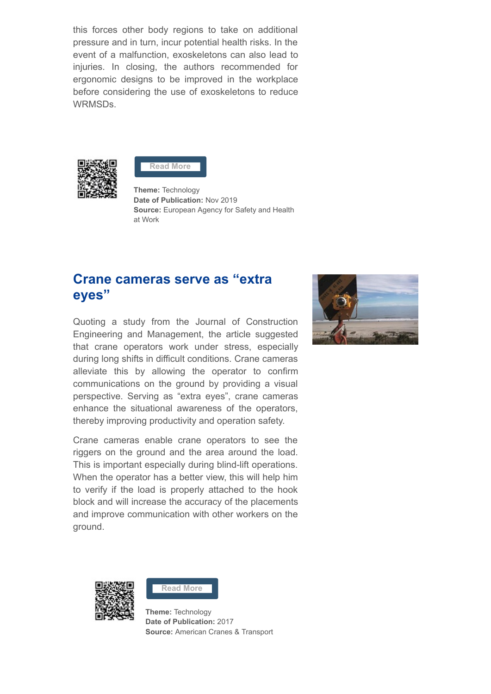this forces other body regions to take on additional pressure and in turn, incur potential health risks. In the event of a malfunction, exoskeletons can also lead to injuries. In closing, the authors recommended for ergonomic designs to be improved in the workplace before considering the use of exoskeletons to reduce WRMSDs.



**[Read More](https://osha.europa.eu/sites/default/files/publications/documents/Exoskeletons%26OSH.pdf)**

**Theme:** Technology **Date of Publication:** Nov 2019 **Source:** European Agency for Safety and Health at Work

### **Crane cameras serve as "extra eyes"**

Quoting a study from the Journal of Construction Engineering and Management, the article suggested that crane operators work under stress, especially during long shifts in difficult conditions. Crane cameras alleviate this by allowing the operator to confirm communications on the ground by providing a visual perspective. Serving as "extra eyes", crane cameras enhance the situational awareness of the operators, thereby improving productivity and operation safety.

Crane cameras enable crane operators to see the riggers on the ground and the area around the load. This is important especially during blind-lift operations. When the operator has a better view, this will help him to verify if the load is properly attached to the hook block and will increase the accuracy of the placements and improve communication with other workers on the ground.







**Theme:** Technology **Date of Publication:** 2017 **Source:** American Cranes & Transport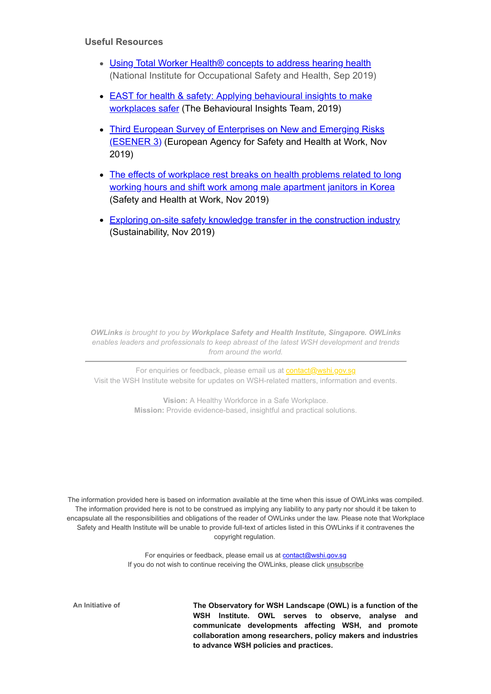#### **Useful Resources**

- Using Total Worker Health<sup>®</sup> concepts to address hearing health (National Institute for Occupational Safety and Health, Sep 2019)
- [EAST for health & safety: Applying behavioural insights to make](https://www.bi.team/wp-content/uploads/2019/10/2019-09-30-BIT_EAST-for-Safety_Full-Report.pdf) workplaces safer (The Behavioural Insights Team, 2019)
- [Third European Survey of Enterprises on New and Emerging Risks](https://osha.europa.eu/sites/default/files/publications/documents/ESENER_3_first_findings.pdf) (ESENER 3) (European Agency for Safety and Health at Work, Nov 2019)
- [The effects of workplace rest breaks on health problems related to long](https://www.sciencedirect.com/science/article/pii/S2093791119305669) working hours and shift work among male apartment janitors in Korea (Safety and Health at Work, Nov 2019)
- [Exploring on-site safety knowledge transfer in the construction industry](https://www.mdpi.com/2071-1050/11/22/6426/pdf) (Sustainability, Nov 2019)

*OWLinks is brought to you by Workplace Safety and Health Institute, Singapore. OWLinks enables leaders and professionals to keep abreast of the latest WSH development and trends from around the world.*

For enquiries or feedback, please email us at **[contact@wshi.gov.sg](mailto:contact@wshi.gov.sg)** Visit the WSH Institute website for updates on WSH-related matters, information and events.

> **Vision:** A Healthy Workforce in a Safe Workplace. **Mission:** Provide evidence-based, insightful and practical solutions.

The information provided here is based on information available at the time when this issue of OWLinks was compiled. The information provided here is not to be construed as implying any liability to any party nor should it be taken to encapsulate all the responsibilities and obligations of the reader of OWLinks under the law. Please note that Workplace Safety and Health Institute will be unable to provide full-text of articles listed in this OWLinks if it contravenes the copyright regulation.

> For enquiries or feedback, please email us at [contact@wshi.gov.sg](mailto:contact@wshi.gov.sg) If you do not wish to continue receiving the OWLinks, please click [unsubscribe](https://www.wshi.gov.sg/subscription/newsletter-unsubscribe)

**An Initiative of The Observatory for WSH Landscape (OWL) is a function of the WSH Institute. OWL serves to observe, analyse and communicate developments affecting WSH, and promote collaboration among researchers, policy makers and industries to advance WSH policies and practices.**